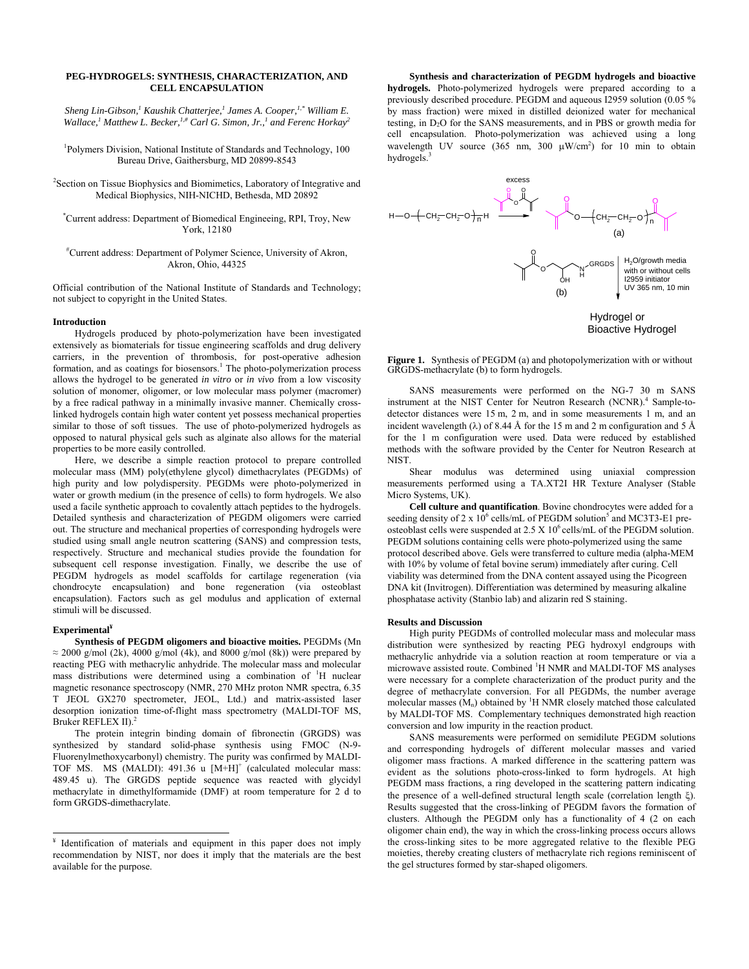## **PEG-HYDROGELS: SYNTHESIS, CHARACTERIZATION, AND CELL ENCAPSULATION**

*Sheng Lin-Gibson,1 Kaushik Chatterjee,<sup>1</sup> James A. Cooper,1,\* William E.*  Wallace,<sup>1</sup> Matthew L. Becker,<sup>1,#</sup> Carl G. Simon, Jr.,<sup>1</sup> and Ferenc Horkay<sup>2</sup>

1 Polymers Division, National Institute of Standards and Technology, 100 Bureau Drive, Gaithersburg, MD 20899-8543

<sup>2</sup> Section on Tissue Biophysics and Biomimetics, Laboratory of Integrative and Medical Biophysics, NIH-NICHD, Bethesda, MD 20892

\* Current address: Department of Biomedical Engineeing, RPI, Troy, New York, 12180

# Current address: Department of Polymer Science, University of Akron, Akron, Ohio, 44325

Official contribution of the National Institute of Standards and Technology; not subject to copyright in the United States.

## **Introduction**

Hydrogels produced by photo-polymerization have been investigated extensively as biomaterials for tissue engineering scaffolds and drug delivery carriers, in the prevention of thrombosis, for post-operative adhesion formation, and as coatings for biosensors.<sup>1</sup> The photo-polymerization process allows the hydrogel to be generated *in vitro* or *in vivo* from a low viscosity solution of monomer, oligomer, or low molecular mass polymer (macromer) by a free radical pathway in a minimally invasive manner. Chemically crosslinked hydrogels contain high water content yet possess mechanical properties similar to those of soft tissues. The use of photo-polymerized hydrogels as opposed to natural physical gels such as alginate also allows for the material properties to be more easily controlled.

Here, we describe a simple reaction protocol to prepare controlled molecular mass (MM) poly(ethylene glycol) dimethacrylates (PEGDMs) of high purity and low polydispersity. PEGDMs were photo-polymerized in water or growth medium (in the presence of cells) to form hydrogels. We also used a facile synthetic approach to covalently attach peptides to the hydrogels. Detailed synthesis and characterization of PEGDM oligomers were carried out. The structure and mechanical properties of corresponding hydrogels were studied using small angle neutron scattering (SANS) and compression tests, respectively. Structure and mechanical studies provide the foundation for subsequent cell response investigation. Finally, we describe the use of PEGDM hydrogels as model scaffolds for cartilage regeneration (via chondrocyte encapsulation) and bone regeneration (via osteoblast encapsulation). Factors such as gel modulus and application of external stimuli will be discussed.

## **Experimental¥**

**Synthesis of PEGDM oligomers and bioactive moities.** PEGDMs (Mn  $\approx$  2000 g/mol (2k), 4000 g/mol (4k), and 8000 g/mol (8k)) were prepared by reacting PEG with methacrylic anhydride. The molecular mass and molecular mass distributions were determined using a combination of <sup>1</sup>H nuclear magnetic resonance spectroscopy (NMR, 270 MHz proton NMR spectra, 6.35 T JEOL GX270 spectrometer, JEOL, Ltd.) and matrix-assisted laser desorption ionization time-of-flight mass spectrometry (MALDI-TOF MS, Bruker REFLEX II).<sup>2</sup>

The protein integrin binding domain of fibronectin (GRGDS) was synthesized by standard solid-phase synthesis using FMOC (N-9- Fluorenylmethoxycarbonyl) chemistry. The purity was confirmed by MALDI-TOF MS. MS (MALDI): 491.36 u [M+H]<sup>+</sup> (calculated molecular mass: 489.45 u). The GRGDS peptide sequence was reacted with glycidyl methacrylate in dimethylformamide (DMF) at room temperature for 2 d to form GRGDS-dimethacrylate.

**Synthesis and characterization of PEGDM hydrogels and bioactive hydrogels.** Photo-polymerized hydrogels were prepared according to a previously described procedure. PEGDM and aqueous I2959 solution (0.05 % by mass fraction) were mixed in distilled deionized water for mechanical testing, in D2O for the SANS measurements, and in PBS or growth media for cell encapsulation. Photo-polymerization was achieved using a long wavelength UV source  $(365 \text{ nm}, 300 \mu\text{W/cm}^2)$  for 10 min to obtain hydrogels.<sup>3</sup>



**Figure 1.** Synthesis of PEGDM (a) and photopolymerization with or without GRGDS-methacrylate (b) to form hydrogels.

SANS measurements were performed on the NG-7 30 m SANS instrument at the NIST Center for Neutron Research (NCNR).<sup>4</sup> Sample-todetector distances were 15 m, 2 m, and in some measurements 1 m, and an incident wavelength ( $\lambda$ ) of 8.44 Å for the 15 m and 2 m configuration and 5 Å for the 1 m configuration were used. Data were reduced by established methods with the software provided by the Center for Neutron Research at NIST.

Shear modulus was determined using uniaxial compression measurements performed using a TA.XT2I HR Texture Analyser (Stable Micro Systems, UK).

**Cell culture and quantification**. Bovine chondrocytes were added for a seeding density of 2 x  $10^6$  cells/mL of PEGDM solution<sup>5</sup> and MC3T3-E1 preosteoblast cells were suspended at  $2.5 \times 10^6$  cells/mL of the PEGDM solution. PEGDM solutions containing cells were photo-polymerized using the same protocol described above. Gels were transferred to culture media (alpha-MEM with 10% by volume of fetal bovine serum) immediately after curing. Cell viability was determined from the DNA content assayed using the Picogreen DNA kit (Invitrogen). Differentiation was determined by measuring alkaline phosphatase activity (Stanbio lab) and alizarin red S staining.

#### **Results and Discussion**

High purity PEGDMs of controlled molecular mass and molecular mass distribution were synthesized by reacting PEG hydroxyl endgroups with methacrylic anhydride via a solution reaction at room temperature or via a microwave assisted route. Combined <sup>1</sup>H NMR and MALDI-TOF MS analyses were necessary for a complete characterization of the product purity and the degree of methacrylate conversion. For all PEGDMs, the number average molecular masses  $(M_n)$  obtained by <sup>1</sup>H NMR closely matched those calculated by MALDI-TOF MS. Complementary techniques demonstrated high reaction conversion and low impurity in the reaction product.

SANS measurements were performed on semidilute PEGDM solutions and corresponding hydrogels of different molecular masses and varied oligomer mass fractions. A marked difference in the scattering pattern was evident as the solutions photo-cross-linked to form hydrogels. At high PEGDM mass fractions, a ring developed in the scattering pattern indicating the presence of a well-defined structural length scale (correlation length ξ). Results suggested that the cross-linking of PEGDM favors the formation of clusters. Although the PEGDM only has a functionality of 4 (2 on each oligomer chain end), the way in which the cross-linking process occurs allows the cross-linking sites to be more aggregated relative to the flexible PEG moieties, thereby creating clusters of methacrylate rich regions reminiscent of the gel structures formed by star-shaped oligomers.

 ¥ Identification of materials and equipment in this paper does not imply recommendation by NIST, nor does it imply that the materials are the best available for the purpose.